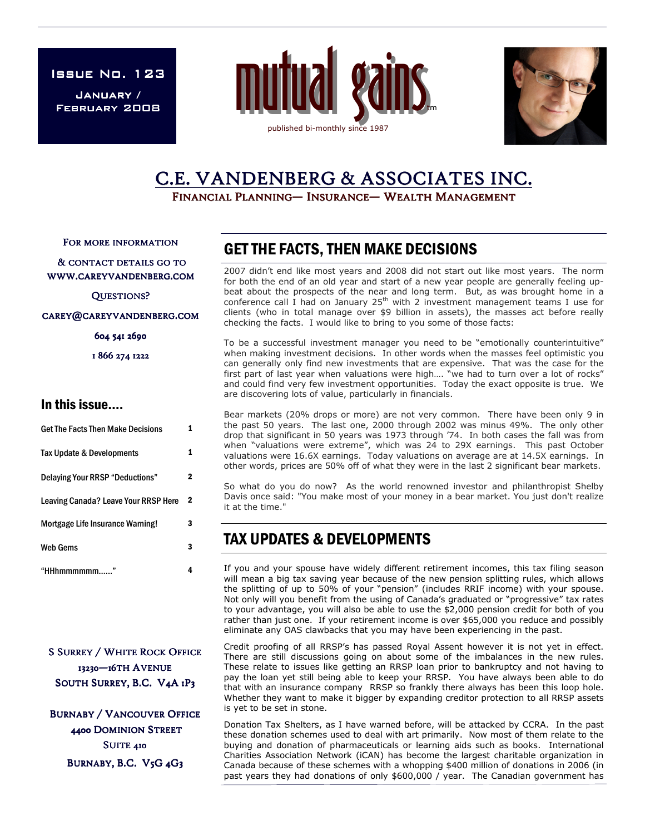**ISSUE No. 123** 

January / February 2008 February 2008





# C.E. VANDENBERG & ASSOCIATES INC.

FINANCIAL PLANNING— INSURANCE— WEALTH MANAGEMENT

FOR MORE INFORMATION

& CONTACT DETAILS GO TO WWW.CAREYVANDENBERG.COM

QUESTIONS?

CAREY@CAREYVANDENBERG.COM

604 541 2690

1 866 274 1222

#### In this issue….

| <b>Get The Facts Then Make Decisions</b>    |   |
|---------------------------------------------|---|
| Tax Update & Developments                   |   |
| Delaying Your RRSP "Deductions"             | 2 |
| <b>Leaving Canada? Leave Your RRSP Here</b> | 2 |
| Mortgage Life Insurance Warning!            | з |
| <b>Web Gems</b>                             | з |
| "HHhmmmmmm                                  |   |

**S SURREY / WHITE ROCK OFFICE** 13230-16TH AVENUE SOUTH SURREY, B.C. V4A 1P3

**BURNABY / VANCOUVER OFFICE** 4400 DOMINION STREET SUITE 410 BURNABY, B.C. V5G 4G3

# GET THE FACTS, THEN MAKE DECISIONS

2007 didn't end like most years and 2008 did not start out like most years. The norm for both the end of an old year and start of a new year people are generally feeling upbeat about the prospects of the near and long term. But, as was brought home in a conference call  $I$  had on January 25<sup>th</sup> with 2 investment management teams I use for clients (who in total manage over \$9 billion in assets), the masses act before really checking the facts. I would like to bring to you some of those facts:

To be a successful investment manager you need to be "emotionally counterintuitive" when making investment decisions. In other words when the masses feel optimistic you can generally only find new investments that are expensive. That was the case for the first part of last year when valuations were high…. "we had to turn over a lot of rocks" and could find very few investment opportunities. Today the exact opposite is true. We are discovering lots of value, particularly in financials.

Bear markets (20% drops or more) are not very common. There have been only 9 in the past 50 years. The last one, 2000 through 2002 was minus 49%. The only other drop that significant in 50 years was 1973 through '74. In both cases the fall was from when "valuations were extreme", which was 24 to 29X earnings. This past October valuations were 16.6X earnings. Today valuations on average are at 14.5X earnings. In other words, prices are 50% off of what they were in the last 2 significant bear markets.

So what do you do now? As the world renowned investor and philanthropist Shelby Davis once said: "You make most of your money in a bear market. You just don't realize it at the time."

# TAX UPDATES & DEVELOPMENTS

If you and your spouse have widely different retirement incomes, this tax filing season will mean a big tax saving year because of the new pension splitting rules, which allows the splitting of up to 50% of your "pension" (includes RRIF income) with your spouse. Not only will you benefit from the using of Canada's graduated or "progressive" tax rates to your advantage, you will also be able to use the \$2,000 pension credit for both of you rather than just one. If your retirement income is over \$65,000 you reduce and possibly eliminate any OAS clawbacks that you may have been experiencing in the past.

Credit proofing of all RRSP's has passed Royal Assent however it is not yet in effect. There are still discussions going on about some of the imbalances in the new rules. These relate to issues like getting an RRSP loan prior to bankruptcy and not having to pay the loan yet still being able to keep your RRSP. You have always been able to do that with an insurance company RRSP so frankly there always has been this loop hole. Whether they want to make it bigger by expanding creditor protection to all RRSP assets is yet to be set in stone.

Donation Tax Shelters, as I have warned before, will be attacked by CCRA. In the past these donation schemes used to deal with art primarily. Now most of them relate to the buying and donation of pharmaceuticals or learning aids such as books. International Charities Association Network (iCAN) has become the largest charitable organization in Canada because of these schemes with a whopping \$400 million of donations in 2006 (in past years they had donations of only \$600,000 / year. The Canadian government has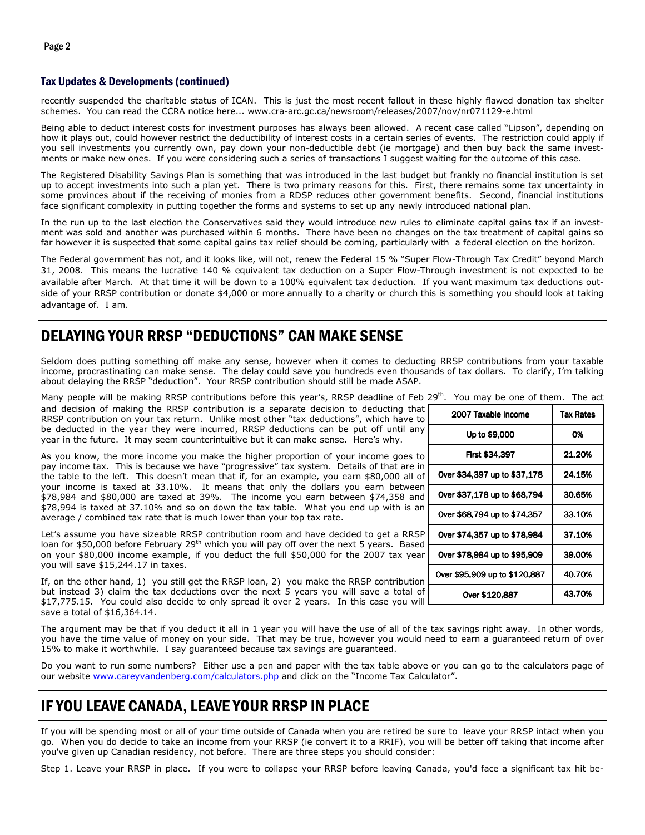#### Tax Updates & Developments (continued)

recently suspended the charitable status of ICAN. This is just the most recent fallout in these highly flawed donation tax shelter schemes. You can read the CCRA notice here... www.cra-arc.gc.ca/newsroom/releases/2007/nov/nr071129-e.html

Being able to deduct interest costs for investment purposes has always been allowed. A recent case called "Lipson", depending on how it plays out, could however restrict the deductibility of interest costs in a certain series of events. The restriction could apply if you sell investments you currently own, pay down your non-deductible debt (ie mortgage) and then buy back the same investments or make new ones. If you were considering such a series of transactions I suggest waiting for the outcome of this case.

The Registered Disability Savings Plan is something that was introduced in the last budget but frankly no financial institution is set up to accept investments into such a plan yet. There is two primary reasons for this. First, there remains some tax uncertainty in some provinces about if the receiving of monies from a RDSP reduces other government benefits. Second, financial institutions face significant complexity in putting together the forms and systems to set up any newly introduced national plan.

In the run up to the last election the Conservatives said they would introduce new rules to eliminate capital gains tax if an investment was sold and another was purchased within 6 months. There have been no changes on the tax treatment of capital gains so far however it is suspected that some capital gains tax relief should be coming, particularly with a federal election on the horizon.

The Federal government has not, and it looks like, will not, renew the Federal 15 % "Super Flow-Through Tax Credit" beyond March 31, 2008. This means the lucrative 140 % equivalent tax deduction on a Super Flow-Through investment is not expected to be available after March. At that time it will be down to a 100% equivalent tax deduction. If you want maximum tax deductions outside of your RRSP contribution or donate \$4,000 or more annually to a charity or church this is something you should look at taking advantage of. I am.

## DELAYING YOUR RRSP "DEDUCTIONS" CAN MAKE SENSE

Seldom does putting something off make any sense, however when it comes to deducting RRSP contributions from your taxable income, procrastinating can make sense. The delay could save you hundreds even thousands of tax dollars. To clarify, I'm talking about delaying the RRSP "deduction". Your RRSP contribution should still be made ASAP.

Many people will be making RRSP contributions before this year's, RRSP deadline of Feb 29<sup>th</sup>. You may be one of them. The act and decision of making the RRSP contribution is a separate decision to deducting that RRSP contribution on your tax return. Unlike most other "tax deductions", which have be deducted in the year they were incurred, RRSP deductions can be put off until an year in the future. It may seem counterintuitive but it can make sense. Here's why.

pay income tax. This is because we have "progressive" tax system. Details of that are in As you know, the more income you make the higher proportion of your income goes the table to the left. This doesn't mean that if, for an example, you earn \$80,000 all your income is taxed at 33.10%. It means that only the dollars you earn betwee \$78,984 and \$80,000 are taxed at 39%. The income you earn between \$74,358 and \$78,994 is taxed at 37.10% and so on down the tax table. What you end up with is an average / combined tax rate that is much lower than your top tax rate.

Let's assume you have sizeable RRSP contribution room and have decided to get a RRS loan for \$50,000 before February 29<sup>th</sup> which you will pay off over the next 5 years. Base on your  $$80,000$  income example, if you deduct the full  $$50,000$  for the 2007 tax year you will save \$15,244.17 in taxes.

If, on the other hand,  $1)$  you still get the RRSP loan,  $2)$  you make the RRSP contribution but instead 3) claim the tax deductions over the next 5 years you will save a total \$17,775.15. You could also decide to only spread it over 2 years. In this case you will save a total of \$16,364.14.

The argument may be that if you deduct it all in 1 year you will have the use of all of the tax savings right away. In other words, you have the time value of money on your side. That may be true, however you would need to earn a guaranteed return of over 15% to make it worthwhile. I say guaranteed because tax savings are guaranteed.

Do you want to run some numbers? Either use a pen and paper with the tax table above or you can go to the calculators page of our website www.careyvandenberg.com/calculators.php and click on the "Income Tax Calculator".

## IF YOU LEAVE CANADA, LEAVE YOUR RRSP IN PLACE

If you will be spending most or all of your time outside of Canada when you are retired be sure to leave your RRSP intact when you go. When you do decide to take an income from your RRSP (ie convert it to a RRIF), you will be better off taking that income after you've given up Canadian residency, not before. There are three steps you should consider:

Step 1. Leave your RRSP in place. If you were to collapse your RRSP before leaving Canada, you'd face a significant tax hit be-

| ıal<br>to<br>ny                                     | 2007 Taxable Income           | <b>Tax Rates</b> |
|-----------------------------------------------------|-------------------------------|------------------|
|                                                     | Up to \$9,000                 | 0%               |
| to                                                  | First \$34,397                | 21.20%           |
| in<br>of<br>en<br>nd<br>an<br>SP<br>ed<br>ar!<br>on | Over \$34,397 up to \$37,178  | 24.15%           |
|                                                     | Over \$37,178 up to \$68,794  | 30.65%           |
|                                                     | Over \$68,794 up to \$74,357  | 33.10%           |
|                                                     | Over \$74,357 up to \$78,984  | 37.10%           |
|                                                     | Over \$78,984 up to \$95,909  | 39.00%           |
|                                                     | Over \$95,909 up to \$120,887 | 40.70%           |
| оf<br>                                              | Over \$120,887                | 43.70%           |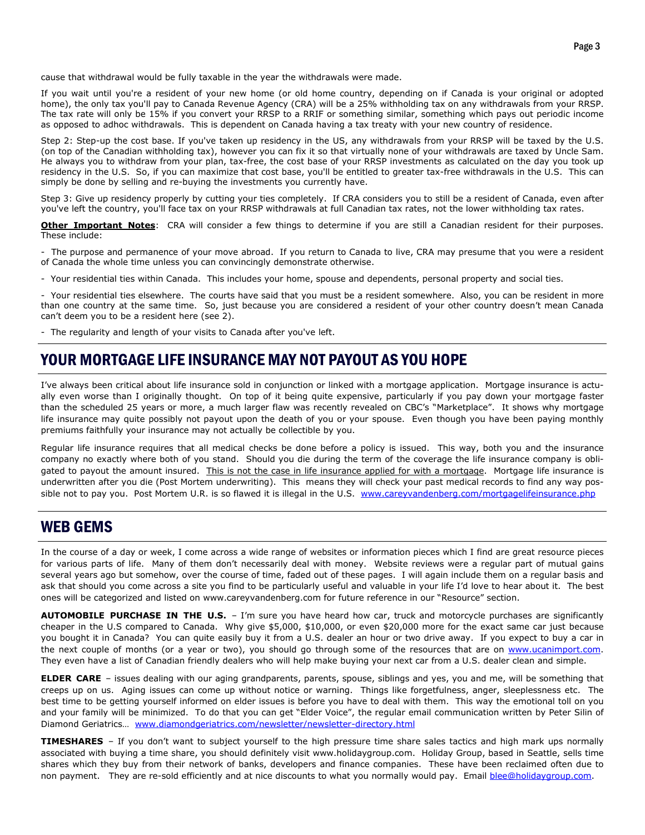If you wait until you're a resident of your new home (or old home country, depending on if Canada is your original or adopted home), the only tax you'll pay to Canada Revenue Agency (CRA) will be a 25% withholding tax on any withdrawals from your RRSP. The tax rate will only be 15% if you convert your RRSP to a RRIF or something similar, something which pays out periodic income as opposed to adhoc withdrawals. This is dependent on Canada having a tax treaty with your new country of residence.

Step 2: Step-up the cost base. If you've taken up residency in the US, any withdrawals from your RRSP will be taxed by the U.S. (on top of the Canadian withholding tax), however you can fix it so that virtually none of your withdrawals are taxed by Uncle Sam. He always you to withdraw from your plan, tax-free, the cost base of your RRSP investments as calculated on the day you took up residency in the U.S. So, if you can maximize that cost base, you'll be entitled to greater tax-free withdrawals in the U.S. This can simply be done by selling and re-buying the investments you currently have.

Step 3: Give up residency properly by cutting your ties completely. If CRA considers you to still be a resident of Canada, even after you've left the country, you'll face tax on your RRSP withdrawals at full Canadian tax rates, not the lower withholding tax rates.

Other Important Notes: CRA will consider a few things to determine if you are still a Canadian resident for their purposes. These include:

- The purpose and permanence of your move abroad. If you return to Canada to live, CRA may presume that you were a resident of Canada the whole time unless you can convincingly demonstrate otherwise.

- Your residential ties within Canada. This includes your home, spouse and dependents, personal property and social ties.

- Your residential ties elsewhere. The courts have said that you must be a resident somewhere. Also, you can be resident in more than one country at the same time. So, just because you are considered a resident of your other country doesn't mean Canada can't deem you to be a resident here (see 2).

- The regularity and length of your visits to Canada after you've left.

## YOUR MORTGAGE LIFE INSURANCE MAY NOT PAYOUT AS YOU HOPE

I've always been critical about life insurance sold in conjunction or linked with a mortgage application. Mortgage insurance is actually even worse than I originally thought. On top of it being quite expensive, particularly if you pay down your mortgage faster than the scheduled 25 years or more, a much larger flaw was recently revealed on CBC's "Marketplace". It shows why mortgage life insurance may quite possibly not payout upon the death of you or your spouse. Even though you have been paying monthly premiums faithfully your insurance may not actually be collectible by you.

Regular life insurance requires that all medical checks be done before a policy is issued. This way, both you and the insurance company no exactly where both of you stand. Should you die during the term of the coverage the life insurance company is obligated to payout the amount insured. This is not the case in life insurance applied for with a mortgage. Mortgage life insurance is underwritten after you die (Post Mortem underwriting). This means they will check your past medical records to find any way possible not to pay you. Post Mortem U.R. is so flawed it is illegal in the U.S. www.careyvandenberg.com/mortgagelifeinsurance.php

### WEB GEMS

In the course of a day or week, I come across a wide range of websites or information pieces which I find are great resource pieces for various parts of life. Many of them don't necessarily deal with money. Website reviews were a regular part of mutual gains several years ago but somehow, over the course of time, faded out of these pages. I will again include them on a regular basis and ask that should you come across a site you find to be particularly useful and valuable in your life I'd love to hear about it. The best ones will be categorized and listed on www.careyvandenberg.com for future reference in our "Resource" section.

AUTOMOBILE PURCHASE IN THE U.S. - I'm sure you have heard how car, truck and motorcycle purchases are significantly cheaper in the U.S compared to Canada. Why give \$5,000, \$10,000, or even \$20,000 more for the exact same car just because you bought it in Canada? You can quite easily buy it from a U.S. dealer an hour or two drive away. If you expect to buy a car in the next couple of months (or a year or two), you should go through some of the resources that are on www.ucanimport.com. They even have a list of Canadian friendly dealers who will help make buying your next car from a U.S. dealer clean and simple.

ELDER CARE - issues dealing with our aging grandparents, parents, spouse, siblings and yes, you and me, will be something that creeps up on us. Aging issues can come up without notice or warning. Things like forgetfulness, anger, sleeplessness etc. The best time to be getting yourself informed on elder issues is before you have to deal with them. This way the emotional toll on you and your family will be minimized. To do that you can get "Elder Voice", the regular email communication written by Peter Silin of Diamond Geriatrics… www.diamondgeriatrics.com/newsletter/newsletter-directory.html

TIMESHARES - If you don't want to subject yourself to the high pressure time share sales tactics and high mark ups normally associated with buying a time share, you should definitely visit www.holidaygroup.com. Holiday Group, based in Seattle, sells time shares which they buy from their network of banks, developers and finance companies. These have been reclaimed often due to non payment. They are re-sold efficiently and at nice discounts to what you normally would pay. Email blee@holidaygroup.com.